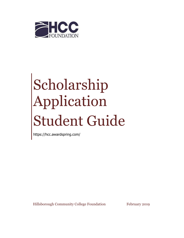

# Scholarship Application Student Guide

https://hcc.awardspring.com/

Hillsborough Community College Foundation February 2019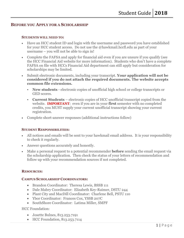# **BEFORE YOU APPLY FOR A SCHOLARSHIP**

#### **STUDENTS WILL NEED TO:**

- Have an HCC student ID and login with the username and password you have established for your HCC student access. Do not use the @hawkmail.hccfl.edu as part of your username – you will not be able to sign in!
- Complete the FAFSA and apply for financial aid even if you are unsure if you qualify (see the HCC Financial Aid website for more information). Students who don't have a complete FAFSA on file with HCCs Financial Aid department can still apply but consideration for scholarships may be limited.
- Submit electronic documents, including your transcript. **Your application will not be considered if you do not attach the required documents. The website accepts common file extensions.** 
	- **New students** electronic copies of unofficial high school or college transcripts or GED scores.
	- **Current Students**  electronic copies of HCC unofficial transcript copied from the website. **IMPORTANT**: even if you are in your **first** semester with no completed credits, you MUST supply your current unofficial transcript showing your current registration.
- Complete short-answer responses (additional instructions follow)

## **STUDENT RESPONSIBILITIES:**

- All notices and emails will be sent to your hawkmail email address. It is your responsibility to check it regularly.
- Answer questions accurately and honestly.
- Make a personal request to a potential recommender **before** sending the email request via the scholarship application. Then check the status of your letters of recommendation and follow up with your recommendation sources if not completed.

## **RESOURCES:**

## **CAMPUS SCHOLARSHIP COORDINATORS:**

- Brandon Coordinator: Theresa Lewis, BSSB 111
- Dale Mabry Coordinator: Elizabeth Key-Raimer, DSTU 244
- Plant City and MacDill Coordinator: Charlene Bell, PSTU 110
- Ybor Coordinator: Frances Cox, YSSB 207C
- SouthShore Coordinator: Latima Miller, SMPF

## HCC Foundation:

- Josette Bulnes, 813.253.7191
- HCC Foundation, 813, 253, 7114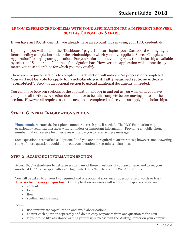## **IF YOU EXPERIENCE PROBLEMS WITH YOUR APPLICATION TRY A DIFFERENT BROWSER SUCH AS CHROME OR SAFARI.**

If you have an HCC student ID, you already have an account! Log in using your HCC credentials.

Upon login, you will land on the "Dashboard" page. In future logins, your Dashboard will highlight items needing completion and/or the scholarships to which you have applied. Select "Complete Application" to begin your application. For your information, you may view the scholarships available by selecting "Scholarships", in the left navigation bar. However, the application will automatically match you to scholarships for which you may qualify.

There are 4 required sections to complete. Each section will indicate "in process" or "completed". You will not be able to apply for a scholarship until all 4 required sections indicate **"completed"**. Step 5 is an optional section to upload additional documents, if needed.

You can move between sections of the application and log in and out as you wish until you have completed all sections. A section does not have to be fully complete before moving on to another section. However all required sections need to be completed before you can apply for scholarships.

# **STEP 1 GENERAL INFORMATION SECTION**

Phone number: enter the best phone number to reach you, if needed. The HCC Foundation may occasionally send text messages with reminders or important information. Providing a mobile phone number that can receive text messages will allow you to receive these messages.

Some questions are marked as "optional" and you are not required to answer these; however, not answering some of those questions could limit your consideration for certain scholarships.

## **STEP 2 ACADEMIC INFORMATION SECTION**

Access HCC WebAdvisor to get answers to many of these questions, if you are unsure, and to get your unofficial HCC transcripts. After you login into HawkNet, click on the WebAdvisor link.

You will be asked to answer two required and one optional short essay questions (250 words or less). **This section is very important**. Our application reviewers will score your responses based on

- content
- logic
- flow
- spelling and grammar

Note:

- use appropriate capitalization and avoid abbreviations
- answer each question separately and do not copy responses from one question to the next
- If you would like assistance writing your essays, please visit the [Writing Center](http://www.mccneb.edu/adjunct/resources/writingcenter.asp) on your campus.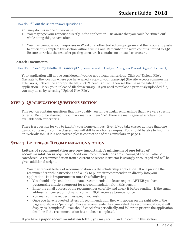#### How do I fill out the short answer questions?

You may do this in one of two ways:

- 1. You may type your response directly in the application. Be aware that you could be "timed out" while doing this, so save often.
- 2. You may compose your responses in Word or another text editing program and then copy and paste to efficiently complete this section without timing out. Remember the word count is limited to 250. Be sure to review the text after pasting to ensure it contains no unusual characters.

#### **Attach Documents**

#### How do I upload my Unofficial Transcript? (Please do **not** upload your "Progress Toward Degree" document)

Your application will not be considered if you do not upload transcripts. Click on "Upload File". Navigate to the location where you have saved a copy of your transcript (the site accepts common file extensions). Select the appropriate file, click "Open". You will then see the file name listed on your application. Check your uploaded file for accuracy. If you need to replace a previously uploaded file, you may do so by selecting "Upload New File".

# **STEP 3 QUALIFICATION QUESTIONS SECTION**

This section contains questions that may qualify you for particular scholarships that have very specific criteria. Do not be alarmed if you mark many of them "no"; there are many general scholarships available with few criteria.

There is a question for you to identify your home campus. Even if you take classes at more than one campus or take only online classes, you will still have a home campus. You should be able to find this on WebAdvisor. If it is not correct, please contact one of the counselors on page 1.

## **STEP 4 LETTERS OF RECOMMENDATION SECTION**

**Letters of recommendation are very important**. **A minimum of one letter of recommendation is required.** Additional recommendations are encouraged and will also be considered. A recommendation from a current or recent instructor is strongly encouraged and will be given additional weight.

You may request letters of recommendation via the scholarship application. It will provide the recommender with instructions and a link to put their recommendation directly into your application. **It is important to note the following**:

- You should only send the automated recommendation letter request **AFTER** you have **personally made a request** for a recommendation from this person.
- Enter the email address of the recommender carefully and check it before sending. If the email address is incorrect or not valid, you will **NOT** receive a bounce notice.
- You may edit the request message, if you wish.
- Once you have requested letters of recommendation, they will appear on the right side of the page and show as "pending". Once a recommender has completed the recommendation, it will display as "completed". You should check this periodically and follow up prior to the application deadline if the recommendation has not been completed.

If you have a **paper recommendation letter**, you may scan it and upload it in this section.